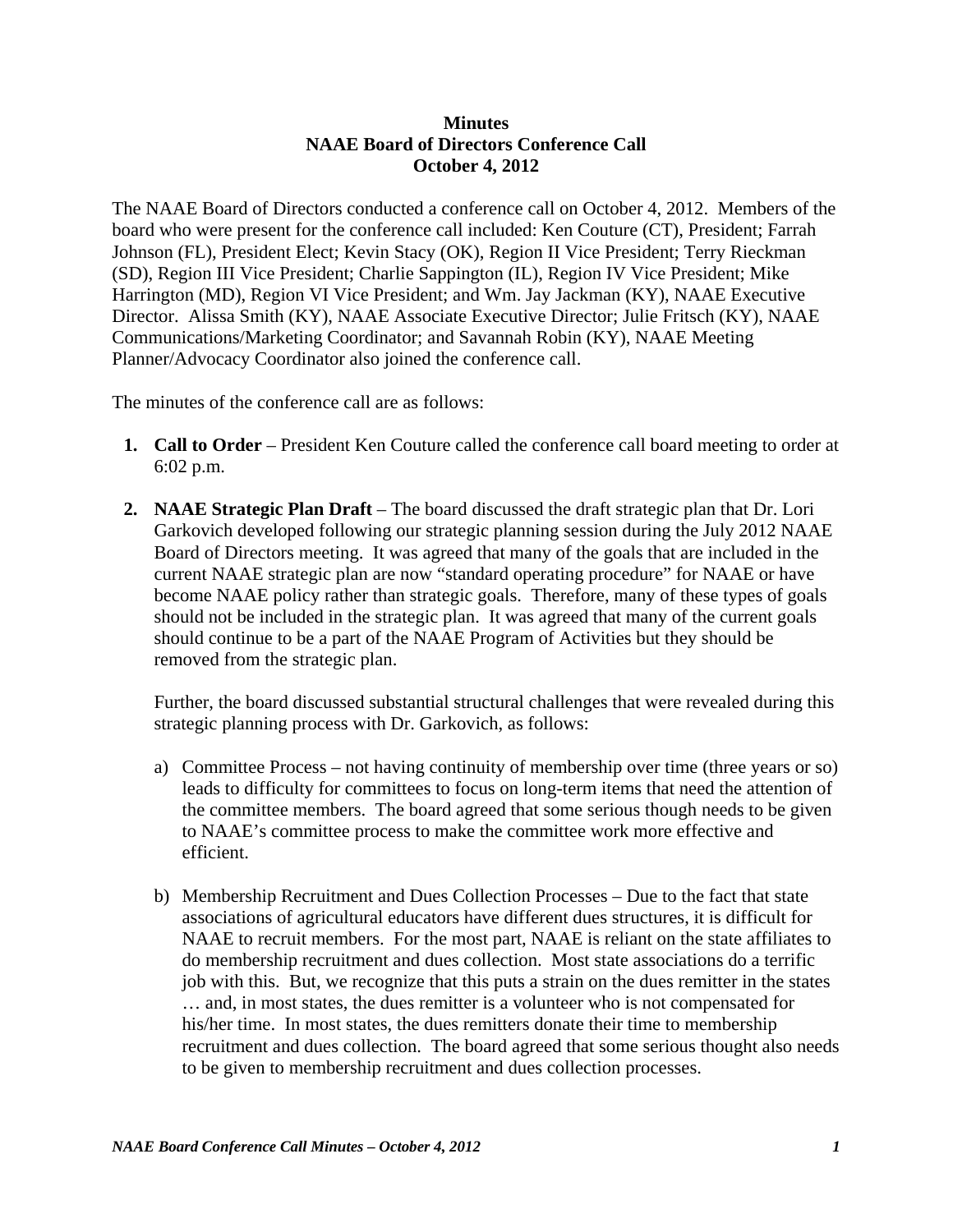## **Minutes NAAE Board of Directors Conference Call October 4, 2012**

The NAAE Board of Directors conducted a conference call on October 4, 2012. Members of the board who were present for the conference call included: Ken Couture (CT), President; Farrah Johnson (FL), President Elect; Kevin Stacy (OK), Region II Vice President; Terry Rieckman (SD), Region III Vice President; Charlie Sappington (IL), Region IV Vice President; Mike Harrington (MD), Region VI Vice President; and Wm. Jay Jackman (KY), NAAE Executive Director. Alissa Smith (KY), NAAE Associate Executive Director; Julie Fritsch (KY), NAAE Communications/Marketing Coordinator; and Savannah Robin (KY), NAAE Meeting Planner/Advocacy Coordinator also joined the conference call.

The minutes of the conference call are as follows:

- **1. Call to Order** President Ken Couture called the conference call board meeting to order at 6:02 p.m.
- **2. NAAE Strategic Plan Draft** The board discussed the draft strategic plan that Dr. Lori Garkovich developed following our strategic planning session during the July 2012 NAAE Board of Directors meeting. It was agreed that many of the goals that are included in the current NAAE strategic plan are now "standard operating procedure" for NAAE or have become NAAE policy rather than strategic goals. Therefore, many of these types of goals should not be included in the strategic plan. It was agreed that many of the current goals should continue to be a part of the NAAE Program of Activities but they should be removed from the strategic plan.

Further, the board discussed substantial structural challenges that were revealed during this strategic planning process with Dr. Garkovich, as follows:

- a) Committee Process not having continuity of membership over time (three years or so) leads to difficulty for committees to focus on long-term items that need the attention of the committee members. The board agreed that some serious though needs to be given to NAAE's committee process to make the committee work more effective and efficient.
- b) Membership Recruitment and Dues Collection Processes Due to the fact that state associations of agricultural educators have different dues structures, it is difficult for NAAE to recruit members. For the most part, NAAE is reliant on the state affiliates to do membership recruitment and dues collection. Most state associations do a terrific job with this. But, we recognize that this puts a strain on the dues remitter in the states … and, in most states, the dues remitter is a volunteer who is not compensated for his/her time. In most states, the dues remitters donate their time to membership recruitment and dues collection. The board agreed that some serious thought also needs to be given to membership recruitment and dues collection processes.